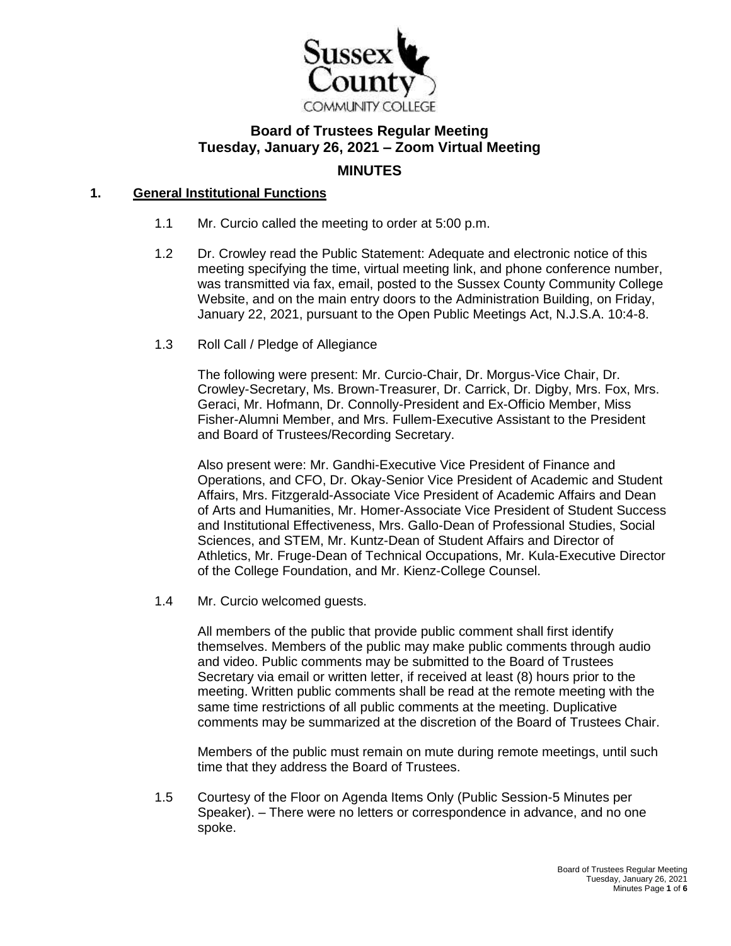

# **Board of Trustees Regular Meeting Tuesday, January 26, 2021 – Zoom Virtual Meeting MINUTES**

# **1. General Institutional Functions**

- 1.1 Mr. Curcio called the meeting to order at 5:00 p.m.
- 1.2 Dr. Crowley read the Public Statement: Adequate and electronic notice of this meeting specifying the time, virtual meeting link, and phone conference number, was transmitted via fax, email, posted to the Sussex County Community College Website, and on the main entry doors to the Administration Building, on Friday, January 22, 2021, pursuant to the Open Public Meetings Act, N.J.S.A. 10:4-8.
- 1.3 Roll Call / Pledge of Allegiance

The following were present: Mr. Curcio-Chair, Dr. Morgus-Vice Chair, Dr. Crowley-Secretary, Ms. Brown-Treasurer, Dr. Carrick, Dr. Digby, Mrs. Fox, Mrs. Geraci, Mr. Hofmann, Dr. Connolly-President and Ex-Officio Member, Miss Fisher-Alumni Member, and Mrs. Fullem-Executive Assistant to the President and Board of Trustees/Recording Secretary.

Also present were: Mr. Gandhi-Executive Vice President of Finance and Operations, and CFO, Dr. Okay-Senior Vice President of Academic and Student Affairs, Mrs. Fitzgerald-Associate Vice President of Academic Affairs and Dean of Arts and Humanities, Mr. Homer-Associate Vice President of Student Success and Institutional Effectiveness, Mrs. Gallo-Dean of Professional Studies, Social Sciences, and STEM, Mr. Kuntz-Dean of Student Affairs and Director of Athletics, Mr. Fruge-Dean of Technical Occupations, Mr. Kula-Executive Director of the College Foundation, and Mr. Kienz-College Counsel.

1.4 Mr. Curcio welcomed guests.

All members of the public that provide public comment shall first identify themselves. Members of the public may make public comments through audio and video. Public comments may be submitted to the Board of Trustees Secretary via email or written letter, if received at least (8) hours prior to the meeting. Written public comments shall be read at the remote meeting with the same time restrictions of all public comments at the meeting. Duplicative comments may be summarized at the discretion of the Board of Trustees Chair.

Members of the public must remain on mute during remote meetings, until such time that they address the Board of Trustees.

1.5 Courtesy of the Floor on Agenda Items Only (Public Session-5 Minutes per Speaker). – There were no letters or correspondence in advance, and no one spoke.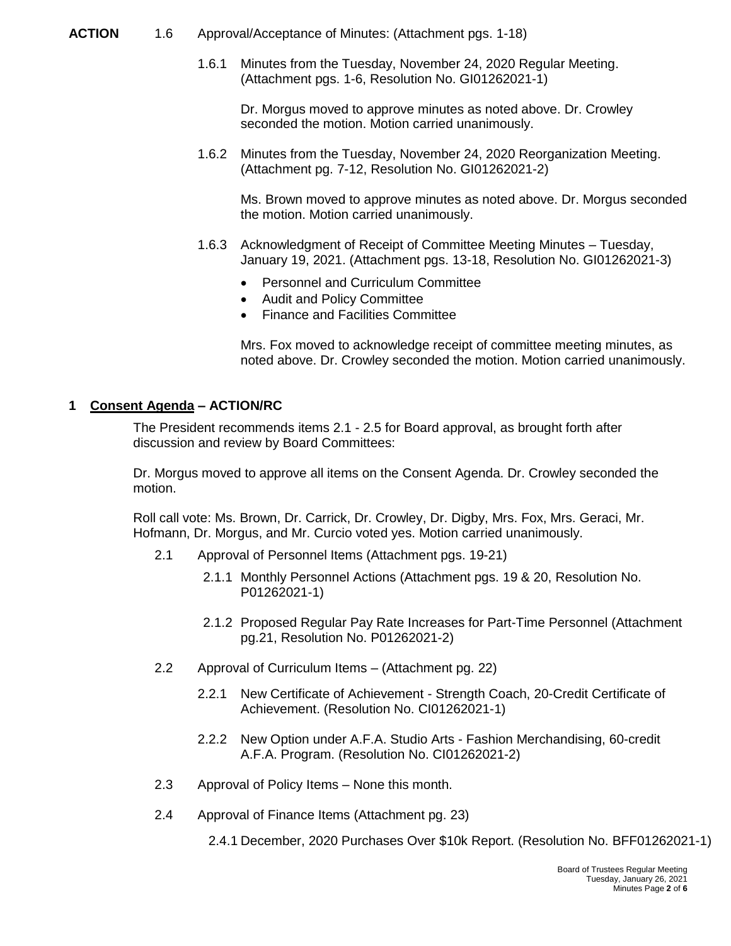#### **ACTION** 1.6 Approval/Acceptance of Minutes: (Attachment pgs. 1-18)

1.6.1 Minutes from the Tuesday, November 24, 2020 Regular Meeting. (Attachment pgs. 1-6, Resolution No. GI01262021-1)

Dr. Morgus moved to approve minutes as noted above. Dr. Crowley seconded the motion. Motion carried unanimously.

1.6.2 Minutes from the Tuesday, November 24, 2020 Reorganization Meeting. (Attachment pg. 7-12, Resolution No. GI01262021-2)

Ms. Brown moved to approve minutes as noted above. Dr. Morgus seconded the motion. Motion carried unanimously.

- 1.6.3 Acknowledgment of Receipt of Committee Meeting Minutes Tuesday, January 19, 2021. (Attachment pgs. 13-18, Resolution No. GI01262021-3)
	- Personnel and Curriculum Committee
	- Audit and Policy Committee
	- Finance and Facilities Committee

Mrs. Fox moved to acknowledge receipt of committee meeting minutes, as noted above. Dr. Crowley seconded the motion. Motion carried unanimously.

## **1 Consent Agenda – ACTION/RC**

The President recommends items 2.1 - 2.5 for Board approval, as brought forth after discussion and review by Board Committees:

Dr. Morgus moved to approve all items on the Consent Agenda. Dr. Crowley seconded the motion.

Roll call vote: Ms. Brown, Dr. Carrick, Dr. Crowley, Dr. Digby, Mrs. Fox, Mrs. Geraci, Mr. Hofmann, Dr. Morgus, and Mr. Curcio voted yes. Motion carried unanimously.

- 2.1 Approval of Personnel Items (Attachment pgs. 19-21)
	- 2.1.1 Monthly Personnel Actions (Attachment pgs. 19 & 20, Resolution No. P01262021-1)
	- 2.1.2 Proposed Regular Pay Rate Increases for Part-Time Personnel (Attachment pg.21, Resolution No. P01262021-2)
- 2.2 Approval of Curriculum Items (Attachment pg. 22)
	- 2.2.1 New Certificate of Achievement Strength Coach, 20-Credit Certificate of Achievement. (Resolution No. CI01262021-1)
	- 2.2.2 New Option under A.F.A. Studio Arts Fashion Merchandising, 60-credit A.F.A. Program. (Resolution No. CI01262021-2)
- 2.3 Approval of Policy Items None this month.
- 2.4 Approval of Finance Items (Attachment pg. 23)

2.4.1 December, 2020 Purchases Over \$10k Report. (Resolution No. BFF01262021-1)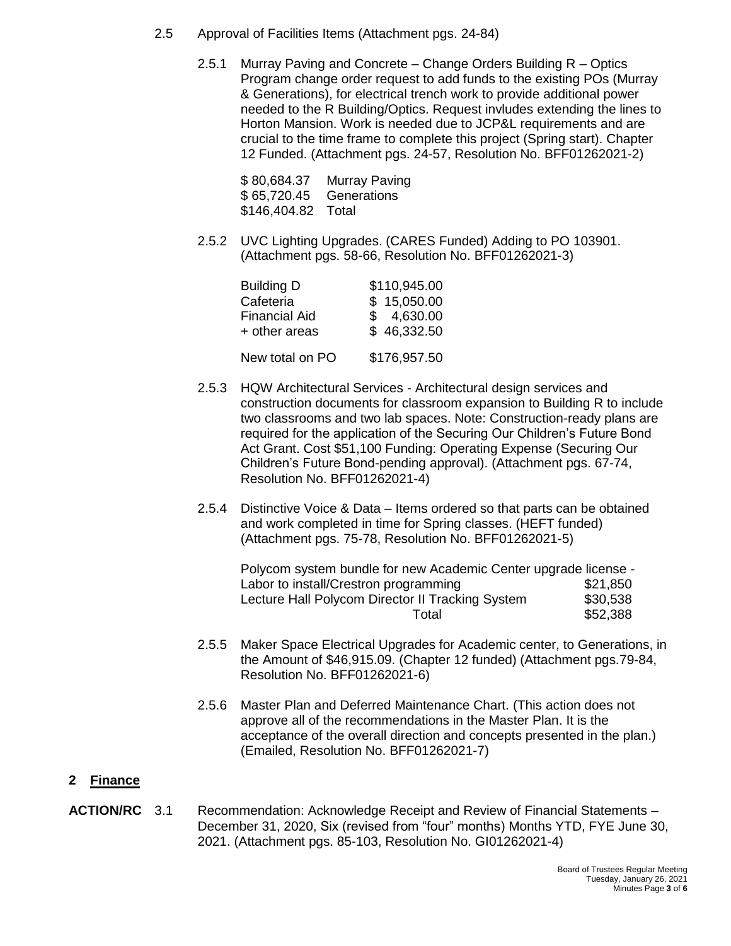- 2.5 Approval of Facilities Items (Attachment pgs. 24-84)
	- 2.5.1 Murray Paving and Concrete Change Orders Building R Optics Program change order request to add funds to the existing POs (Murray & Generations), for electrical trench work to provide additional power needed to the R Building/Optics. Request invludes extending the lines to Horton Mansion. Work is needed due to JCP&L requirements and are crucial to the time frame to complete this project (Spring start). Chapter 12 Funded. (Attachment pgs. 24-57, Resolution No. BFF01262021-2)

\$ 80,684.37 Murray Paving \$ 65,720.45 Generations \$146,404.82 Total

2.5.2 UVC Lighting Upgrades. (CARES Funded) Adding to PO 103901. (Attachment pgs. 58-66, Resolution No. BFF01262021-3)

| <b>Building D</b>    | \$110,945.00 |
|----------------------|--------------|
| Cafeteria            | \$15,050.00  |
| <b>Financial Aid</b> | \$4,630.00   |
| + other areas        | \$46,332.50  |
| New total on PO      | \$176,957.50 |

- 2.5.3 HQW Architectural Services Architectural design services and construction documents for classroom expansion to Building R to include two classrooms and two lab spaces. Note: Construction-ready plans are required for the application of the Securing Our Children's Future Bond Act Grant. Cost \$51,100 Funding: Operating Expense (Securing Our Children's Future Bond-pending approval). (Attachment pgs. 67-74, Resolution No. BFF01262021-4)
- 2.5.4 Distinctive Voice & Data Items ordered so that parts can be obtained and work completed in time for Spring classes. (HEFT funded) (Attachment pgs. 75-78, Resolution No. BFF01262021-5)

Polycom system bundle for new Academic Center upgrade license - Labor to install/Crestron programming \$21,850 Lecture Hall Polycom Director II Tracking System \$30,538 Total \$52,388

- 2.5.5 Maker Space Electrical Upgrades for Academic center, to Generations, in the Amount of \$46,915.09. (Chapter 12 funded) (Attachment pgs.79-84, Resolution No. BFF01262021-6)
- 2.5.6 Master Plan and Deferred Maintenance Chart. (This action does not approve all of the recommendations in the Master Plan. It is the acceptance of the overall direction and concepts presented in the plan.) (Emailed, Resolution No. BFF01262021-7)

## **2 Finance**

**ACTION/RC** 3.1 Recommendation: Acknowledge Receipt and Review of Financial Statements – December 31, 2020, Six (revised from "four" months) Months YTD, FYE June 30, 2021. (Attachment pgs. 85-103, Resolution No. GI01262021-4)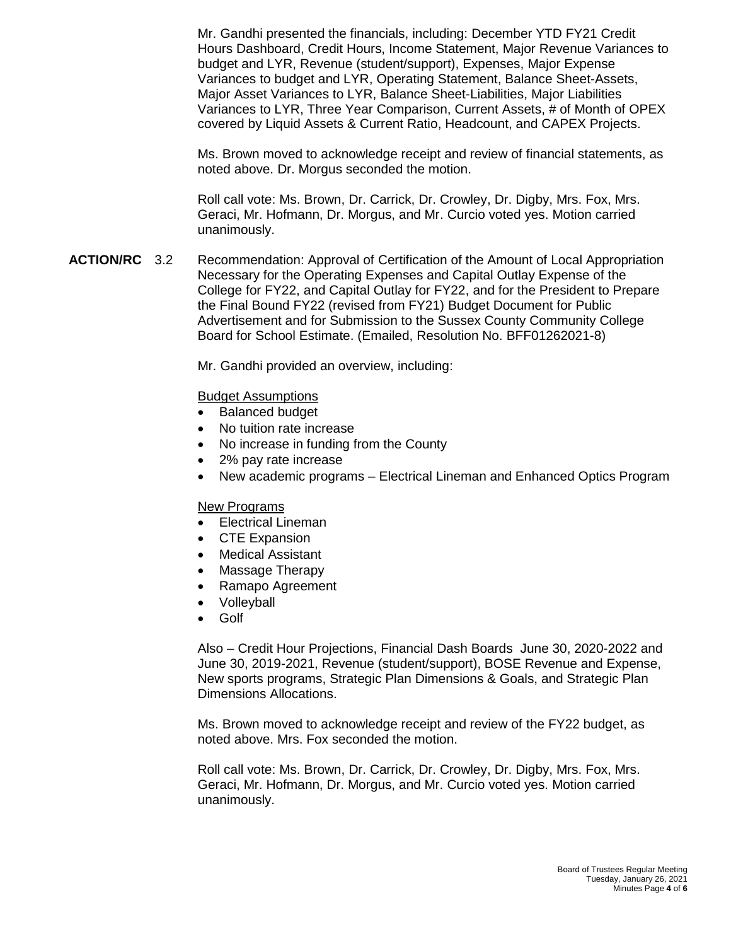Mr. Gandhi presented the financials, including: December YTD FY21 Credit Hours Dashboard, Credit Hours, Income Statement, Major Revenue Variances to budget and LYR, Revenue (student/support), Expenses, Major Expense Variances to budget and LYR, Operating Statement, Balance Sheet-Assets, Major Asset Variances to LYR, Balance Sheet-Liabilities, Major Liabilities Variances to LYR, Three Year Comparison, Current Assets, # of Month of OPEX covered by Liquid Assets & Current Ratio, Headcount, and CAPEX Projects.

Ms. Brown moved to acknowledge receipt and review of financial statements, as noted above. Dr. Morgus seconded the motion.

Roll call vote: Ms. Brown, Dr. Carrick, Dr. Crowley, Dr. Digby, Mrs. Fox, Mrs. Geraci, Mr. Hofmann, Dr. Morgus, and Mr. Curcio voted yes. Motion carried unanimously.

**ACTION/RC** 3.2 Recommendation: Approval of Certification of the Amount of Local Appropriation Necessary for the Operating Expenses and Capital Outlay Expense of the College for FY22, and Capital Outlay for FY22, and for the President to Prepare the Final Bound FY22 (revised from FY21) Budget Document for Public Advertisement and for Submission to the Sussex County Community College Board for School Estimate. (Emailed, Resolution No. BFF01262021-8)

Mr. Gandhi provided an overview, including:

#### Budget Assumptions

- Balanced budget
- No tuition rate increase
- No increase in funding from the County
- 2% pay rate increase
- New academic programs Electrical Lineman and Enhanced Optics Program

#### New Programs

- Electrical Lineman
- CTE Expansion
- Medical Assistant
- Massage Therapy
- Ramapo Agreement
- Volleyball
- Golf

Also – Credit Hour Projections, Financial Dash Boards June 30, 2020-2022 and June 30, 2019-2021, Revenue (student/support), BOSE Revenue and Expense, New sports programs, Strategic Plan Dimensions & Goals, and Strategic Plan Dimensions Allocations.

Ms. Brown moved to acknowledge receipt and review of the FY22 budget, as noted above. Mrs. Fox seconded the motion.

Roll call vote: Ms. Brown, Dr. Carrick, Dr. Crowley, Dr. Digby, Mrs. Fox, Mrs. Geraci, Mr. Hofmann, Dr. Morgus, and Mr. Curcio voted yes. Motion carried unanimously.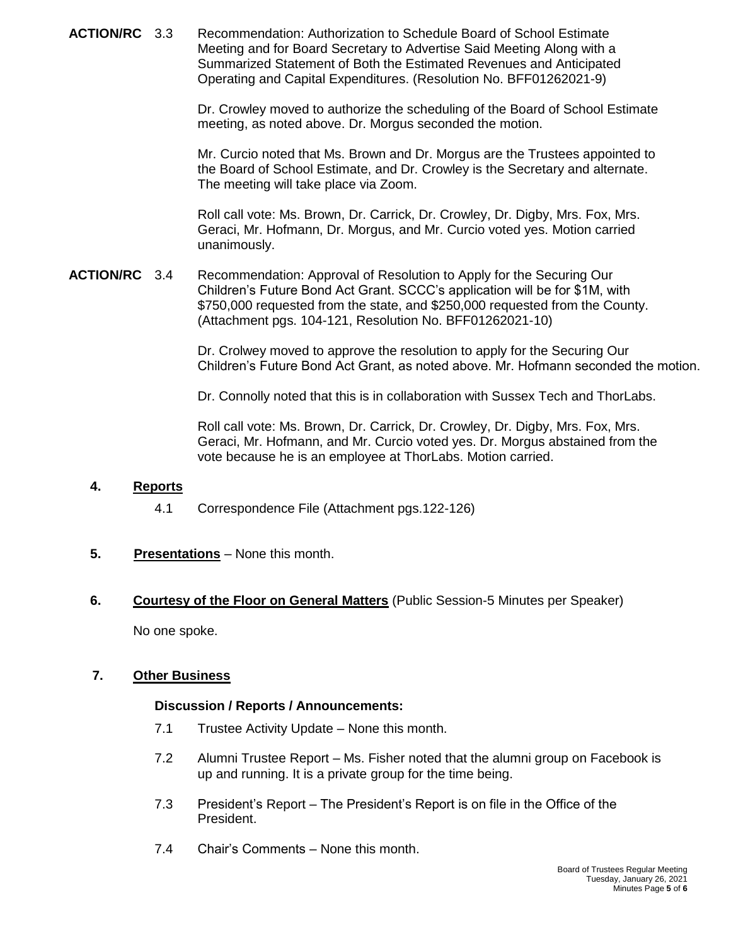**ACTION/RC** 3.3 Recommendation: Authorization to Schedule Board of School Estimate Meeting and for Board Secretary to Advertise Said Meeting Along with a Summarized Statement of Both the Estimated Revenues and Anticipated Operating and Capital Expenditures. (Resolution No. BFF01262021-9)

> Dr. Crowley moved to authorize the scheduling of the Board of School Estimate meeting, as noted above. Dr. Morgus seconded the motion.

> Mr. Curcio noted that Ms. Brown and Dr. Morgus are the Trustees appointed to the Board of School Estimate, and Dr. Crowley is the Secretary and alternate. The meeting will take place via Zoom.

Roll call vote: Ms. Brown, Dr. Carrick, Dr. Crowley, Dr. Digby, Mrs. Fox, Mrs. Geraci, Mr. Hofmann, Dr. Morgus, and Mr. Curcio voted yes. Motion carried unanimously.

**ACTION/RC** 3.4 Recommendation: Approval of Resolution to Apply for the Securing Our Children's Future Bond Act Grant. SCCC's application will be for \$1M, with \$750,000 requested from the state, and \$250,000 requested from the County. (Attachment pgs. 104-121, Resolution No. BFF01262021-10)

> Dr. Crolwey moved to approve the resolution to apply for the Securing Our Children's Future Bond Act Grant, as noted above. Mr. Hofmann seconded the motion.

Dr. Connolly noted that this is in collaboration with Sussex Tech and ThorLabs.

Roll call vote: Ms. Brown, Dr. Carrick, Dr. Crowley, Dr. Digby, Mrs. Fox, Mrs. Geraci, Mr. Hofmann, and Mr. Curcio voted yes. Dr. Morgus abstained from the vote because he is an employee at ThorLabs. Motion carried.

## **4. Reports**

- 4.1 Correspondence File (Attachment pgs.122-126)
- **5. Presentations** None this month.
- **6. Courtesy of the Floor on General Matters** (Public Session-5 Minutes per Speaker)

No one spoke.

## **7. Other Business**

#### **Discussion / Reports / Announcements:**

- 7.1 Trustee Activity Update None this month.
- 7.2 Alumni Trustee Report Ms. Fisher noted that the alumni group on Facebook is up and running. It is a private group for the time being.
- 7.3 President's Report The President's Report is on file in the Office of the President.
- 7.4 Chair's Comments None this month.